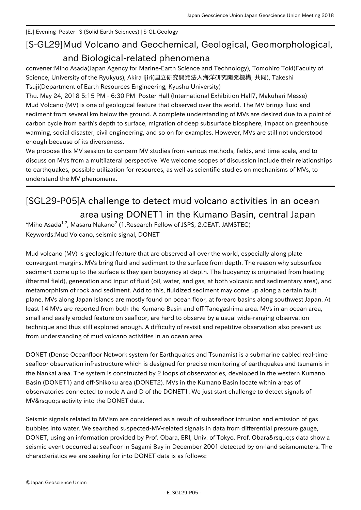[EJ] Evening Poster | S (Solid Earth Sciences) | S-GL Geology

## [S-GL29] Mud Volcano and Geochemical, Geological, Geomorphological, and Biological-related phenomena

convener:Miho Asada(Japan Agency for Marine-Earth Science and Technology), Tomohiro Toki(Faculty of Science, University of the Ryukyus), Akira Ijiri(国立研究開発法人海洋研究開発機構, 共同), Takeshi Tsuji(Department of Earth Resources Engineering, Kyushu University)

Thu. May 24, 2018 5:15 PM - 6:30 PM Poster Hall (International Exhibition Hall7, Makuhari Messe) Mud Volcano (MV) is one of geological feature that observed over the world. The MV brings fluid and sediment from several km below the ground. A complete understanding of MVs are desired due to a point of carbon cycle from earth's depth to surface, migration of deep subsurface biosphere, impact on greenhouse warming, social disaster, civil engineering, and so on for examples. However, MVs are still not understood enough because of its diverseness.

We propose this MV session to concern MV studies from various methods, fields, and time scale, and to discuss on MVs from a multilateral perspective. We welcome scopes of discussion include their relationships to earthquakes, possible utilization for resources, as well as scientific studies on mechanisms of MVs, to understand the MV phenomena.

## [SGL29-P05] A challenge to detect mud volcano activities in an ocean area using DONET1 in the Kumano Basin, central Japan  $^*$ Miho Asada $^{1,2}$ , Masaru Nakano $^2$  (1.Research Fellow of JSPS, 2.CEAT, JAMSTEC)

Keywords:Mud Volcano, seismic signal, DONET

Mud volcano (MV) is geological feature that are observed all over the world, especially along plate convergent margins. MVs bring fluid and sediment to the surface from depth. The reason why subsurface sediment come up to the surface is they gain buoyancy at depth. The buoyancy is originated from heating (thermal field), generation and input of fluid (oil, water, and gas, at both volcanic and sedimentary area), and metamorphism of rock and sediment. Add to this, fluidized sediment may come up along a certain fault plane. MVs along Japan Islands are mostly found on ocean floor, at forearc basins along southwest Japan. At least 14 MVs are reported from both the Kumano Basin and off-Tanegashima area. MVs in an ocean area, small and easily eroded feature on seafloor, are hard to observe by a usual wide-ranging observation technique and thus still explored enough. A difficulty of revisit and repetitive observation also prevent us from understanding of mud volcano activities in an ocean area.

DONET (Dense Oceanfloor Network system for Earthquakes and Tsunamis) is a submarine cabled real-time seafloor observation infrastructure which is designed for precise monitoring of earthquakes and tsunamis in the Nankai area. The system is constructed by 2 loops of observatories, developed in the western Kumano Basin (DONET1) and off-Shikoku area (DONET2). MVs in the Kumano Basin locate within areas of observatories connected to node A and D of the DONET1. We just start challenge to detect signals of MV's activity into the DONET data.

Seismic signals related to MVism are considered as a result of subseafloor intrusion and emission of gas bubbles into water. We searched suspected-MV-related signals in data from differential pressure gauge, DONET, using an information provided by Prof. Obara, ERI, Univ. of Tokyo. Prof. Obara's data show a seismic event occurred at seafloor in Sagami Bay in December 2001 detected by on-land seismometers. The characteristics we are seeking for into DONET data is as follows: